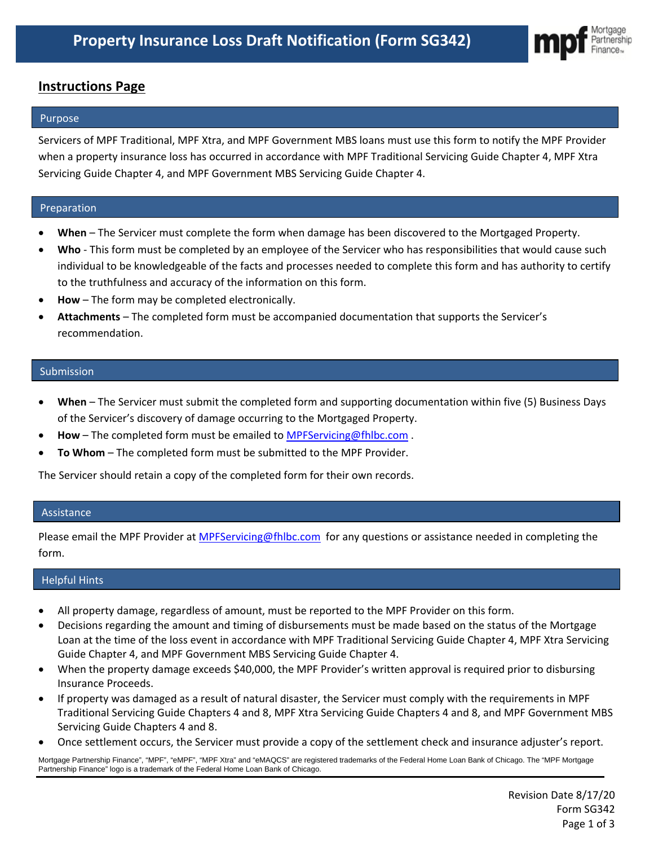

# **Instructions Page**

#### Purpose

Servicers of MPF Traditional, MPF Xtra, and MPF Government MBS loans must use this form to notify the MPF Provider when a property insurance loss has occurred in accordance with MPF Traditional Servicing Guide Chapter 4, MPF Xtra Servicing Guide Chapter 4, and MPF Government MBS Servicing Guide Chapter 4.

## Preparation

- **When**  The Servicer must complete the form when damage has been discovered to the Mortgaged Property.
- **Who** This form must be completed by an employee of the Servicer who has responsibilities that would cause such individual to be knowledgeable of the facts and processes needed to complete this form and has authority to certify to the truthfulness and accuracy of the information on this form.
- **How** The form may be completed electronically.
- **Attachments** The completed form must be accompanied documentation that supports the Servicer's recommendation.

#### Submission

- **When** The Servicer must submit the completed form and supporting documentation within five (5) Business Days of the Servicer's discovery of damage occurring to the Mortgaged Property.
- **How** The completed form must be emailed to [MPFServicing@fhlbc.com](mailto:MPFServicing@fhlbc.com) .
- **To Whom** The completed form must be submitted to the MPF Provider.

The Servicer should retain a copy of the completed form for their own records.

#### Assistance

Please email the MPF Provider at *[MPFServicing@fhlbc.com](mailto:MPFServicing@fhlbc.com)* for any questions or assistance needed in completing the form.

## Helpful Hints

- All property damage, regardless of amount, must be reported to the MPF Provider on this form.
- Decisions regarding the amount and timing of disbursements must be made based on the status of the Mortgage Loan at the time of the loss event in accordance with MPF Traditional Servicing Guide Chapter 4, MPF Xtra Servicing Guide Chapter 4, and MPF Government MBS Servicing Guide Chapter 4.
- When the property damage exceeds \$40,000, the MPF Provider's written approval is required prior to disbursing Insurance Proceeds.
- If property was damaged as a result of natural disaster, the Servicer must comply with the requirements in MPF Traditional Servicing Guide Chapters 4 and 8, MPF Xtra Servicing Guide Chapters 4 and 8, and MPF Government MBS Servicing Guide Chapters 4 and 8.
- Once settlement occurs, the Servicer must provide a copy of the settlement check and insurance adjuster's report.

Mortgage Partnership Finance", "MPF", "eMPF", "MPF Xtra" and "eMAQCS" are registered trademarks of the Federal Home Loan Bank of Chicago. The "MPF Mortgage Partnership Finance" logo is a trademark of the Federal Home Loan Bank of Chicago.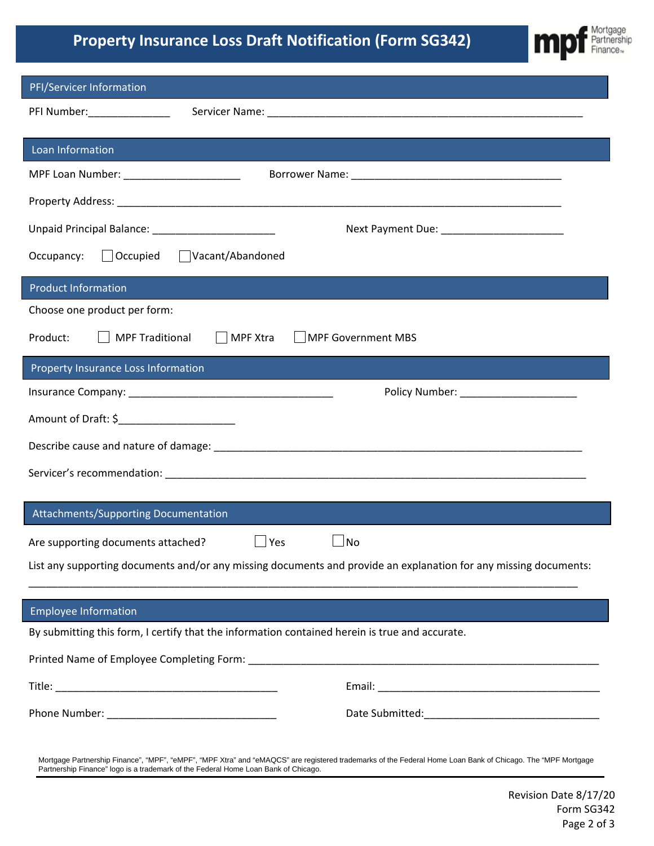# **Property Insurance Loss Draft Notification (Form SG342)**



| PFI/Servicer Information                                                                                                                                                                                                                          |  |  |  |  |  |  |
|---------------------------------------------------------------------------------------------------------------------------------------------------------------------------------------------------------------------------------------------------|--|--|--|--|--|--|
|                                                                                                                                                                                                                                                   |  |  |  |  |  |  |
| Loan Information                                                                                                                                                                                                                                  |  |  |  |  |  |  |
|                                                                                                                                                                                                                                                   |  |  |  |  |  |  |
| MPF Loan Number: ________________________                                                                                                                                                                                                         |  |  |  |  |  |  |
|                                                                                                                                                                                                                                                   |  |  |  |  |  |  |
| Unpaid Principal Balance: ____________________________                                                                                                                                                                                            |  |  |  |  |  |  |
| $\Box$ Occupied<br>Vacant/Abandoned<br>Occupancy:                                                                                                                                                                                                 |  |  |  |  |  |  |
| <b>Product Information</b>                                                                                                                                                                                                                        |  |  |  |  |  |  |
| Choose one product per form:                                                                                                                                                                                                                      |  |  |  |  |  |  |
| MPF Traditional<br>MPF Xtra<br>Product:<br>    MPF Government MBS                                                                                                                                                                                 |  |  |  |  |  |  |
| <b>Property Insurance Loss Information</b>                                                                                                                                                                                                        |  |  |  |  |  |  |
|                                                                                                                                                                                                                                                   |  |  |  |  |  |  |
| Amount of Draft: \$_______________________                                                                                                                                                                                                        |  |  |  |  |  |  |
|                                                                                                                                                                                                                                                   |  |  |  |  |  |  |
|                                                                                                                                                                                                                                                   |  |  |  |  |  |  |
|                                                                                                                                                                                                                                                   |  |  |  |  |  |  |
| Attachments/Supporting Documentation                                                                                                                                                                                                              |  |  |  |  |  |  |
| Are supporting documents attached?<br>Yes<br><b>No</b>                                                                                                                                                                                            |  |  |  |  |  |  |
| List any supporting documents and/or any missing documents and provide an explanation for any missing documents:                                                                                                                                  |  |  |  |  |  |  |
|                                                                                                                                                                                                                                                   |  |  |  |  |  |  |
| <b>Employee Information</b>                                                                                                                                                                                                                       |  |  |  |  |  |  |
| By submitting this form, I certify that the information contained herein is true and accurate.                                                                                                                                                    |  |  |  |  |  |  |
| Printed Name of Employee Completing Form: Law and Complete and Complete and Complete and Complete and Completing                                                                                                                                  |  |  |  |  |  |  |
|                                                                                                                                                                                                                                                   |  |  |  |  |  |  |
|                                                                                                                                                                                                                                                   |  |  |  |  |  |  |
| Mortgage Partnership Finance", "MPF", "eMPF", "MPF Xtra" and "eMAQCS" are registered trademarks of the Federal Home Loan Bank of Chicago. The "MPF Mortgage<br>Partnership Finance" logo is a trademark of the Federal Home Loan Bank of Chicago. |  |  |  |  |  |  |

Revision Date 8/17/20 Form SG342 Page 2 of 3